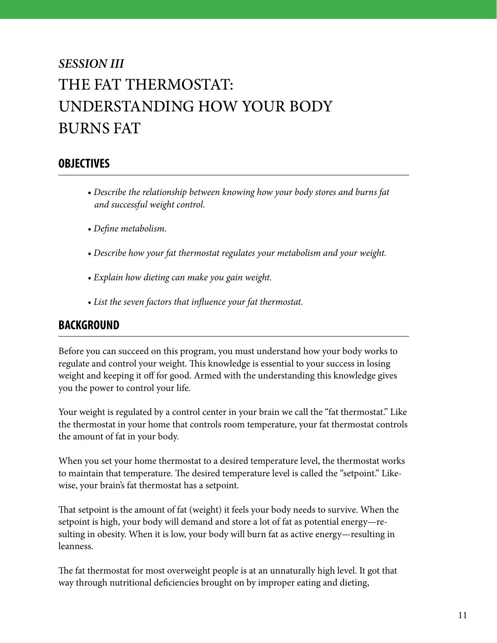# *SESSION III* THE FAT THERMOSTAT: UNDERSTANDING HOW YOUR BODY BURNS FAT

# **OBJECTIVES**

- *Describe the relationship between knowing how your body stores and burns fat and successful weight control.*
- *Define metabolism.*
- *Describe how your fat thermostat regulates your metabolism and your weight.*
- *Explain how dieting can make you gain weight.*
- *List the seven factors that influence your fat thermostat.*

### **BACKGROUND**

Before you can succeed on this program, you must understand how your body works to regulate and control your weight. This knowledge is essential to your success in losing weight and keeping it off for good. Armed with the understanding this knowledge gives you the power to control your life.

Your weight is regulated by a control center in your brain we call the "fat thermostat." Like the thermostat in your home that controls room temperature, your fat thermostat controls the amount of fat in your body.

When you set your home thermostat to a desired temperature level, the thermostat works to maintain that temperature. The desired temperature level is called the "setpoint." Likewise, your brain's fat thermostat has a setpoint.

That setpoint is the amount of fat (weight) it feels your body needs to survive. When the setpoint is high, your body will demand and store a lot of fat as potential energy—resulting in obesity. When it is low, your body will burn fat as active energy—resulting in leanness.

The fat thermostat for most overweight people is at an unnaturally high level. It got that way through nutritional deficiencies brought on by improper eating and dieting,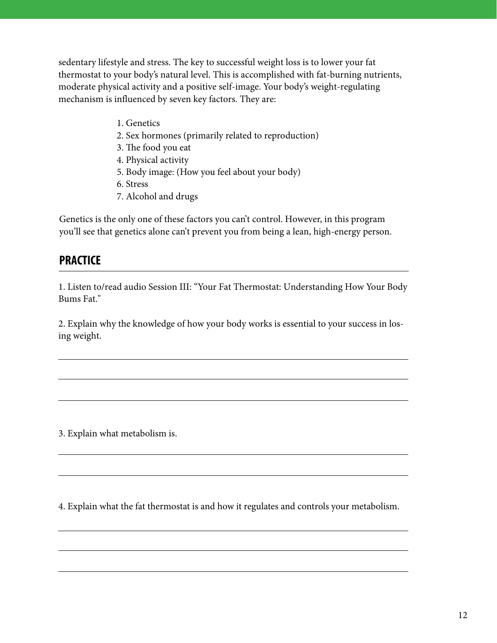sedentary lifestyle and stress. The key to successful weight loss is to lower your fat thermostat to your body's natural level. This is accomplished with fat-burning nutrients, moderate physical activity and a positive self-image. Your body's weight-regulating mechanism is influenced by seven key factors. They are:

- 1. Genetics
- 2. Sex hormones (primarily related to reproduction)
- 3. The food you eat
- 4. Physical activity
- 5. Body image: (How you feel about your body)
- 6. Stress
- 7. Alcohol and drugs

Genetics is the only one of these factors you can't control. However, in this program you'll see that genetics alone can't prevent you from being a lean, high-energy person.

#### **PRACTICE**

1. Listen to/read audio Session III: "Your Fat Thermostat: Understanding How Your Body Bums Fat."

2. Explain why the knowledge of how your body works is essential to your success in losing weight.

3. Explain what metabolism is.

4. Explain what the fat thermostat is and how it regulates and controls your metabolism.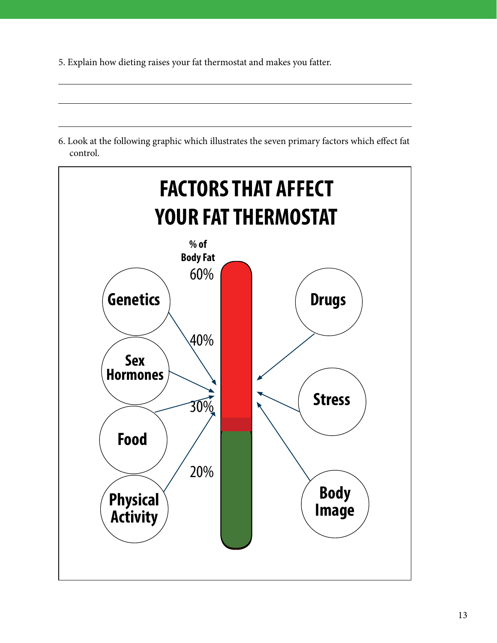5. Explain how dieting raises your fat thermostat and makes you fatter.

6. Look at the following graphic which illustrates the seven primary factors which effect fat control.

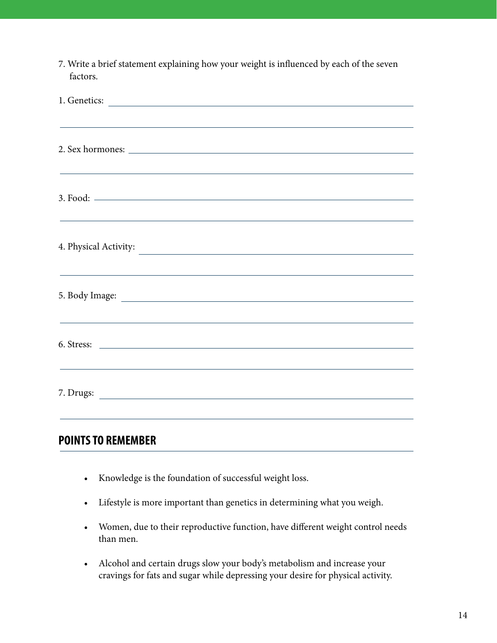| 7. Write a brief statement explaining how your weight is influenced by each of the seven<br>factors. |
|------------------------------------------------------------------------------------------------------|
|                                                                                                      |
|                                                                                                      |
| ,我们也不能在这里的时候,我们也不能在这里的时候,我们也不能会在这里的时候,我们也不能会在这里的时候,我们也不能会在这里的时候,我们也不能会在这里的时候,我们也                     |
|                                                                                                      |
| <u> 2000 - Andrea Andrewski, amerikansk politik (d. 1982)</u>                                        |
|                                                                                                      |
| 7. Drugs:                                                                                            |

# **POINTS TO REMEMBER**

- Knowledge is the foundation of successful weight loss.
- Lifestyle is more important than genetics in determining what you weigh.
- Women, due to their reproductive function, have different weight control needs than men.
- Alcohol and certain drugs slow your body's metabolism and increase your cravings for fats and sugar while depressing your desire for physical activity.